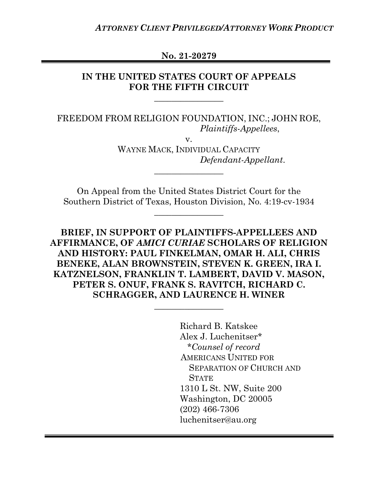**No. 21-20279**

# **IN THE UNITED STATES COURT OF APPEALS FOR THE FIFTH CIRCUIT**

**\_\_\_\_\_\_\_\_\_\_\_\_\_\_\_\_**

FREEDOM FROM RELIGION FOUNDATION, INC.; JOHN ROE, *Plaintiffs-Appellees*,

v.

WAYNE MACK, INDIVIDUAL CAPACITY  *Defendant-Appellant*.

On Appeal from the United States District Court for the Southern District of Texas, Houston Division, No. 4:19-cv-1934

**\_\_\_\_\_\_\_\_\_\_\_\_\_\_\_\_**

**\_\_\_\_\_\_\_\_\_\_\_\_\_\_\_\_**

**BRIEF, IN SUPPORT OF PLAINTIFFS-APPELLEES AND AFFIRMANCE, OF** *AMICI CURIAE* **SCHOLARS OF RELIGION AND HISTORY: PAUL FINKELMAN, OMAR H. ALI, CHRIS BENEKE, ALAN BROWNSTEIN, STEVEN K. GREEN, IRA I. KATZNELSON, FRANKLIN T. LAMBERT, DAVID V. MASON, PETER S. ONUF, FRANK S. RAVITCH, RICHARD C. SCHRAGGER, AND LAURENCE H. WINER**

**\_\_\_\_\_\_\_\_\_\_\_\_\_\_\_\_**

Richard B. Katskee Alex J. Luchenitser\* *\*Counsel of record* AMERICANS UNITED FOR SEPARATION OF CHURCH AND **STATE** 1310 L St. NW, Suite 200 Washington, DC 20005 (202) 466-7306 luchenitser@au.org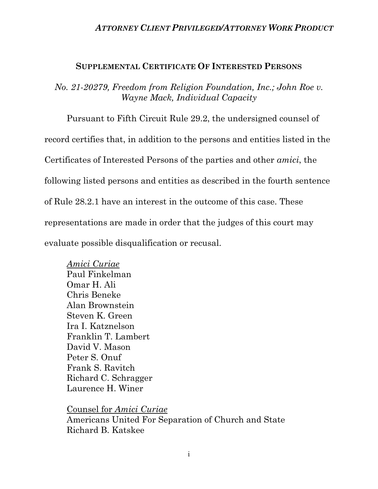#### **SUPPLEMENTAL CERTIFICATE OF INTERESTED PERSONS**

*No. 21-20279, Freedom from Religion Foundation, Inc.; John Roe v. Wayne Mack, Individual Capacity*

Pursuant to Fifth Circuit Rule 29.2, the undersigned counsel of record certifies that, in addition to the persons and entities listed in the Certificates of Interested Persons of the parties and other *amici*, the following listed persons and entities as described in the fourth sentence of Rule 28.2.1 have an interest in the outcome of this case. These representations are made in order that the judges of this court may evaluate possible disqualification or recusal.

*Amici Curiae* Paul Finkelman Omar H. Ali Chris Beneke Alan Brownstein Steven K. Green Ira I. Katznelson Franklin T. Lambert David V. Mason Peter S. Onuf Frank S. Ravitch Richard C. Schragger Laurence H. Winer

Counsel for *Amici Curiae* Americans United For Separation of Church and State Richard B. Katskee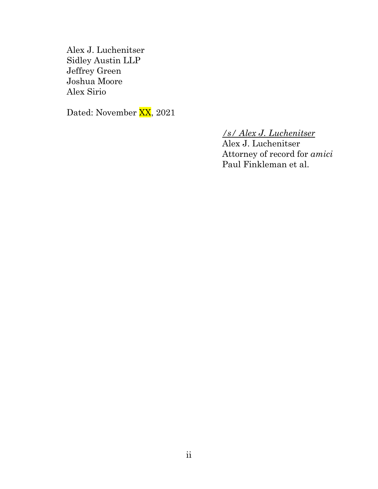Alex J. Luchenitser Sidley Austin LLP Jeffrey Green Joshua Moore Alex Sirio

Dated: November XX, 2021

# */s/ Alex J. Luchenitser*

Alex J. Luchenitser Attorney of record for *amici*  Paul Finkleman et al.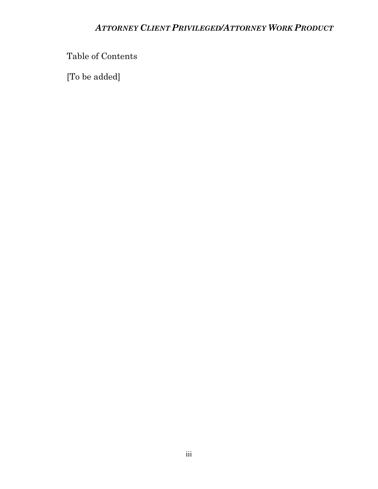Table of Contents

[To be added]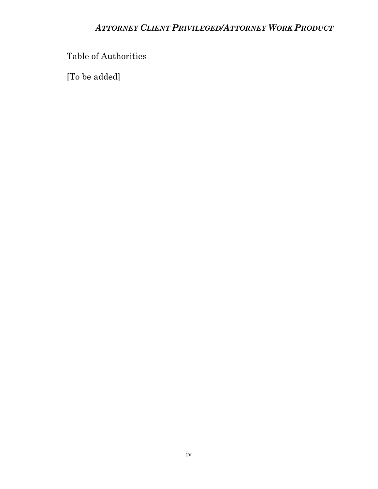Table of Authorities

[To be added]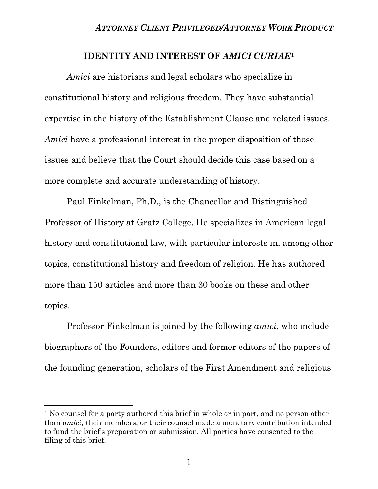### **IDENTITY AND INTEREST OF** *AMICI CURIAE*[1](#page-5-0)

*Amici* are historians and legal scholars who specialize in constitutional history and religious freedom. They have substantial expertise in the history of the Establishment Clause and related issues. *Amici* have a professional interest in the proper disposition of those issues and believe that the Court should decide this case based on a more complete and accurate understanding of history.

Paul Finkelman, Ph.D., is the Chancellor and Distinguished Professor of History at Gratz College. He specializes in American legal history and constitutional law, with particular interests in, among other topics, constitutional history and freedom of religion. He has authored more than 150 articles and more than 30 books on these and other topics.

Professor Finkelman is joined by the following *amici*, who include biographers of the Founders, editors and former editors of the papers of the founding generation, scholars of the First Amendment and religious

<span id="page-5-0"></span><sup>&</sup>lt;sup>1</sup> No counsel for a party authored this brief in whole or in part, and no person other than *amici*, their members, or their counsel made a monetary contribution intended to fund the brief's preparation or submission. All parties have consented to the filing of this brief.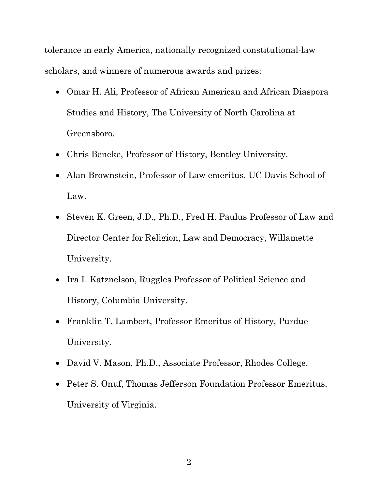tolerance in early America, nationally recognized constitutional-law scholars, and winners of numerous awards and prizes:

- Omar H. Ali, Professor of African American and African Diaspora Studies and History, The University of North Carolina at Greensboro.
- Chris Beneke, Professor of History, Bentley University.
- Alan Brownstein, Professor of Law emeritus, UC Davis School of Law.
- Steven K. Green, J.D., Ph.D., Fred H. Paulus Professor of Law and Director Center for Religion, Law and Democracy, Willamette University.
- Ira I. Katznelson, Ruggles Professor of Political Science and History, Columbia University.
- Franklin T. Lambert, Professor Emeritus of History, Purdue University.
- David V. Mason, Ph.D., Associate Professor, Rhodes College.
- Peter S. Onuf, Thomas Jefferson Foundation Professor Emeritus, University of Virginia.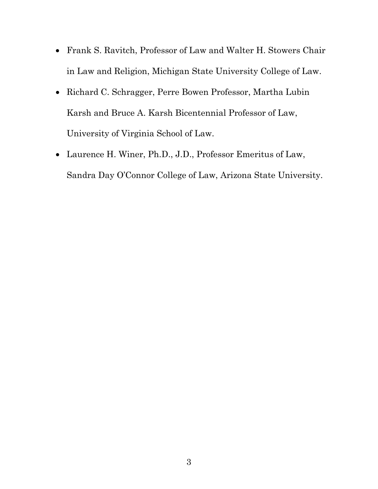- Frank S. Ravitch, Professor of Law and Walter H. Stowers Chair in Law and Religion, Michigan State University College of Law.
- Richard C. Schragger, Perre Bowen Professor, Martha Lubin Karsh and Bruce A. Karsh Bicentennial Professor of Law, University of Virginia School of Law.
- Laurence H. Winer, Ph.D., J.D., Professor Emeritus of Law, Sandra Day O'Connor College of Law, Arizona State University.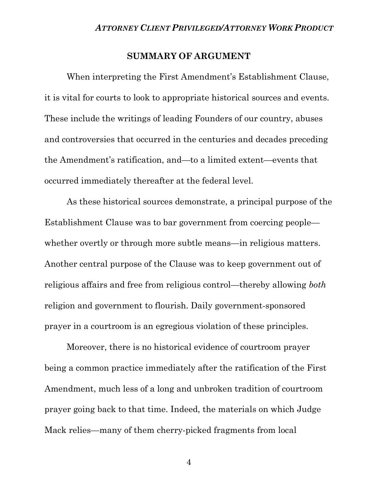### **SUMMARY OF ARGUMENT**

When interpreting the First Amendment's Establishment Clause, it is vital for courts to look to appropriate historical sources and events. These include the writings of leading Founders of our country, abuses and controversies that occurred in the centuries and decades preceding the Amendment's ratification, and—to a limited extent—events that occurred immediately thereafter at the federal level.

As these historical sources demonstrate, a principal purpose of the Establishment Clause was to bar government from coercing people whether overtly or through more subtle means—in religious matters. Another central purpose of the Clause was to keep government out of religious affairs and free from religious control—thereby allowing *both* religion and government to flourish. Daily government-sponsored prayer in a courtroom is an egregious violation of these principles.

Moreover, there is no historical evidence of courtroom prayer being a common practice immediately after the ratification of the First Amendment, much less of a long and unbroken tradition of courtroom prayer going back to that time. Indeed, the materials on which Judge Mack relies—many of them cherry-picked fragments from local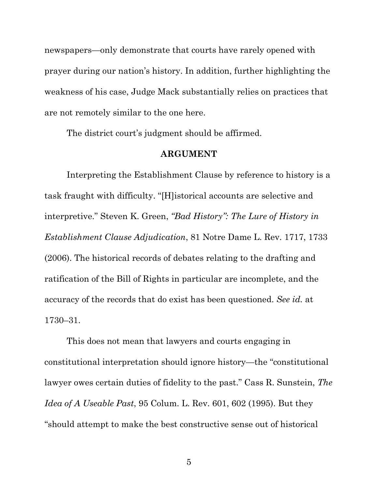newspapers—only demonstrate that courts have rarely opened with prayer during our nation's history. In addition, further highlighting the weakness of his case, Judge Mack substantially relies on practices that are not remotely similar to the one here.

The district court's judgment should be affirmed.

#### **ARGUMENT**

Interpreting the Establishment Clause by reference to history is a task fraught with difficulty. "[H]istorical accounts are selective and interpretive." Steven K. Green, *"Bad History": The Lure of History in Establishment Clause Adjudication*, 81 Notre Dame L. Rev. 1717, 1733 (2006). The historical records of debates relating to the drafting and ratification of the Bill of Rights in particular are incomplete, and the accuracy of the records that do exist has been questioned. *See id.* at 1730–31.

This does not mean that lawyers and courts engaging in constitutional interpretation should ignore history—the "constitutional lawyer owes certain duties of fidelity to the past." Cass R. Sunstein, *The Idea of A Useable Past*, 95 Colum. L. Rev. 601, 602 (1995). But they "should attempt to make the best constructive sense out of historical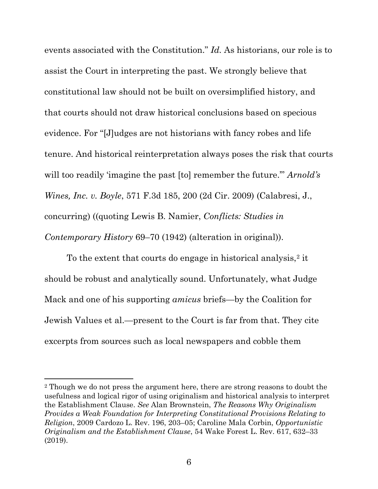events associated with the Constitution." *Id.* As historians, our role is to assist the Court in interpreting the past. We strongly believe that constitutional law should not be built on oversimplified history, and that courts should not draw historical conclusions based on specious evidence. For "[J]udges are not historians with fancy robes and life tenure. And historical reinterpretation always poses the risk that courts will too readily 'imagine the past [to] remember the future.'" *Arnold's Wines, Inc. v. Boyle*, 571 F.3d 185, 200 (2d Cir. 2009) (Calabresi, J., concurring) ((quoting Lewis B. Namier, *Conflicts: Studies in Contemporary History* 69–70 (1942) (alteration in original)).

To the extent that courts do engage in historical analysis,<sup>2</sup> it should be robust and analytically sound. Unfortunately, what Judge Mack and one of his supporting *amicus* briefs—by the Coalition for Jewish Values et al.—present to the Court is far from that. They cite excerpts from sources such as local newspapers and cobble them

<span id="page-10-0"></span><sup>2</sup> Though we do not press the argument here, there are strong reasons to doubt the usefulness and logical rigor of using originalism and historical analysis to interpret the Establishment Clause. *See* Alan Brownstein, *The Reasons Why Originalism Provides a Weak Foundation for Interpreting Constitutional Provisions Relating to Religion*, 2009 Cardozo L. Rev. 196, 203–05; Caroline Mala Corbin, *Opportunistic Originalism and the Establishment Clause*, 54 Wake Forest L. Rev. 617, 632–33 (2019).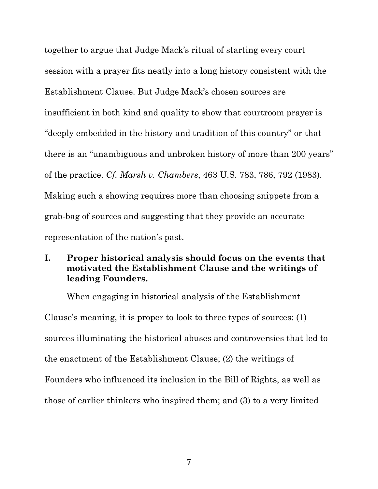together to argue that Judge Mack's ritual of starting every court session with a prayer fits neatly into a long history consistent with the Establishment Clause. But Judge Mack's chosen sources are insufficient in both kind and quality to show that courtroom prayer is "deeply embedded in the history and tradition of this country" or that there is an "unambiguous and unbroken history of more than 200 years" of the practice. *Cf. Marsh v. Chambers*, 463 U.S. 783, 786, 792 (1983). Making such a showing requires more than choosing snippets from a grab-bag of sources and suggesting that they provide an accurate representation of the nation's past.

# **I. Proper historical analysis should focus on the events that motivated the Establishment Clause and the writings of leading Founders.**

When engaging in historical analysis of the Establishment Clause's meaning, it is proper to look to three types of sources: (1) sources illuminating the historical abuses and controversies that led to the enactment of the Establishment Clause; (2) the writings of Founders who influenced its inclusion in the Bill of Rights, as well as those of earlier thinkers who inspired them; and (3) to a very limited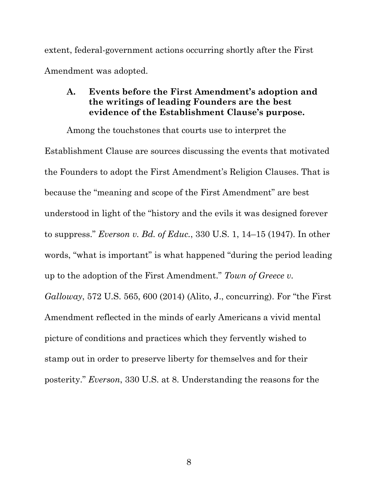extent, federal-government actions occurring shortly after the First Amendment was adopted.

# **A. Events before the First Amendment's adoption and the writings of leading Founders are the best evidence of the Establishment Clause's purpose.**

Among the touchstones that courts use to interpret the Establishment Clause are sources discussing the events that motivated the Founders to adopt the First Amendment's Religion Clauses. That is because the "meaning and scope of the First Amendment" are best understood in light of the "history and the evils it was designed forever to suppress." *Everson v. Bd. of Educ.*, 330 U.S. 1, 14–15 (1947). In other words, "what is important" is what happened "during the period leading up to the adoption of the First Amendment." *Town of Greece v. Galloway*, 572 U.S. 565, 600 (2014) (Alito, J., concurring). For "the First Amendment reflected in the minds of early Americans a vivid mental picture of conditions and practices which they fervently wished to stamp out in order to preserve liberty for themselves and for their posterity." *Everson*, 330 U.S. at 8. Understanding the reasons for the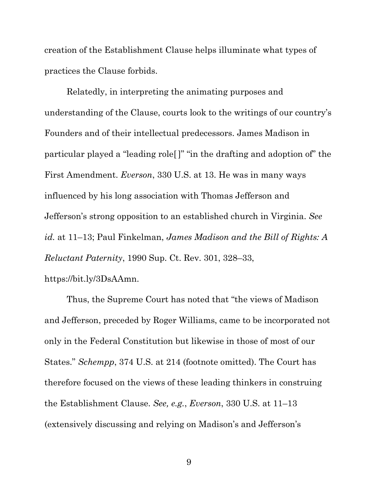creation of the Establishment Clause helps illuminate what types of practices the Clause forbids.

Relatedly, in interpreting the animating purposes and understanding of the Clause, courts look to the writings of our country's Founders and of their intellectual predecessors. James Madison in particular played a "leading role[ ]" "in the drafting and adoption of" the First Amendment. *Everson*, 330 U.S. at 13. He was in many ways influenced by his long association with Thomas Jefferson and Jefferson's strong opposition to an established church in Virginia. *See id.* at 11–13; Paul Finkelman, *James Madison and the Bill of Rights: A Reluctant Paternity*, 1990 Sup. Ct. Rev. 301, 328–33, https://bit.ly/3DsAAmn.

Thus, the Supreme Court has noted that "the views of Madison and Jefferson, preceded by Roger Williams, came to be incorporated not only in the Federal Constitution but likewise in those of most of our States." *Schempp*, 374 U.S. at 214 (footnote omitted). The Court has therefore focused on the views of these leading thinkers in construing the Establishment Clause. *See, e.g.*, *Everson*, 330 U.S. at 11–13 (extensively discussing and relying on Madison's and Jefferson's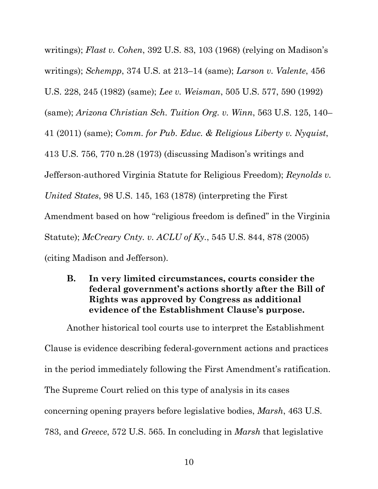writings); *Flast v. Cohen*, 392 U.S. 83, 103 (1968) (relying on Madison's writings); *Schempp*, 374 U.S. at 213–14 (same); *Larson v. Valente*, 456 U.S. 228, 245 (1982) (same); *Lee v. Weisman*, 505 U.S. 577, 590 (1992) (same); *Arizona Christian Sch. Tuition Org. v. Winn*, 563 U.S. 125, 140– 41 (2011) (same); *Comm. for Pub. Educ. & Religious Liberty v. Nyquist*, 413 U.S. 756, 770 n.28 (1973) (discussing Madison's writings and Jefferson-authored Virginia Statute for Religious Freedom); *Reynolds v. United States*, 98 U.S. 145, 163 (1878) (interpreting the First Amendment based on how "religious freedom is defined" in the Virginia Statute); *McCreary Cnty. v. ACLU of Ky.*, 545 U.S. 844, 878 (2005) (citing Madison and Jefferson).

**B. In very limited circumstances, courts consider the federal government's actions shortly after the Bill of Rights was approved by Congress as additional evidence of the Establishment Clause's purpose.** 

Another historical tool courts use to interpret the Establishment Clause is evidence describing federal-government actions and practices in the period immediately following the First Amendment's ratification. The Supreme Court relied on this type of analysis in its cases concerning opening prayers before legislative bodies, *Marsh*, 463 U.S. 783, and *Greece*, 572 U.S. 565. In concluding in *Marsh* that legislative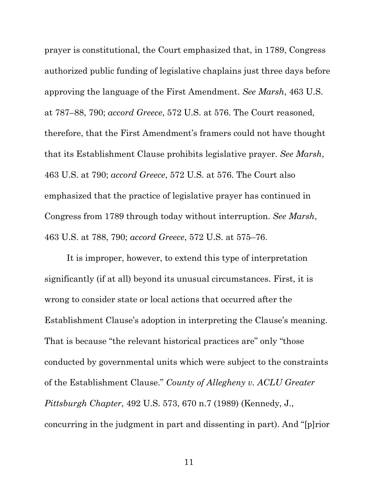prayer is constitutional, the Court emphasized that, in 1789, Congress authorized public funding of legislative chaplains just three days before approving the language of the First Amendment. *See Marsh*, 463 U.S. at 787–88, 790; *accord Greece*, 572 U.S. at 576. The Court reasoned, therefore, that the First Amendment's framers could not have thought that its Establishment Clause prohibits legislative prayer. *See Marsh*, 463 U.S. at 790; *accord Greece*, 572 U.S. at 576. The Court also emphasized that the practice of legislative prayer has continued in Congress from 1789 through today without interruption. *See Marsh*, 463 U.S. at 788, 790; *accord Greece*, 572 U.S. at 575–76.

It is improper, however, to extend this type of interpretation significantly (if at all) beyond its unusual circumstances. First, it is wrong to consider state or local actions that occurred after the Establishment Clause's adoption in interpreting the Clause's meaning. That is because "the relevant historical practices are" only "those conducted by governmental units which were subject to the constraints of the Establishment Clause." *County of Allegheny v. ACLU Greater Pittsburgh Chapter*, 492 U.S. 573, 670 n.7 (1989) (Kennedy, J., concurring in the judgment in part and dissenting in part). And "[p]rior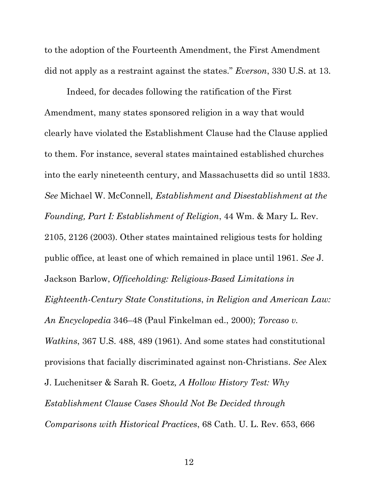to the adoption of the Fourteenth Amendment, the First Amendment did not apply as a restraint against the states." *Everson*, 330 U.S. at 13.

Indeed, for decades following the ratification of the First Amendment, many states sponsored religion in a way that would clearly have violated the Establishment Clause had the Clause applied to them. For instance, several states maintained established churches into the early nineteenth century, and Massachusetts did so until 1833. *See* Michael W. McConnell*, Establishment and Disestablishment at the Founding, Part I: Establishment of Religion*, 44 Wm. & Mary L. Rev. 2105, 2126 (2003). Other states maintained religious tests for holding public office, at least one of which remained in place until 1961. *See* J. Jackson Barlow, *Officeholding: Religious-Based Limitations in Eighteenth-Century State Constitutions*, *in Religion and American Law: An Encyclopedia* 346–48 (Paul Finkelman ed., 2000); *Torcaso v. Watkins*, 367 U.S. 488, 489 (1961). And some states had constitutional provisions that facially discriminated against non-Christians. *See* Alex J. Luchenitser & Sarah R. Goetz*, A Hollow History Test: Why Establishment Clause Cases Should Not Be Decided through Comparisons with Historical Practices*, 68 Cath. U. L. Rev. 653, 666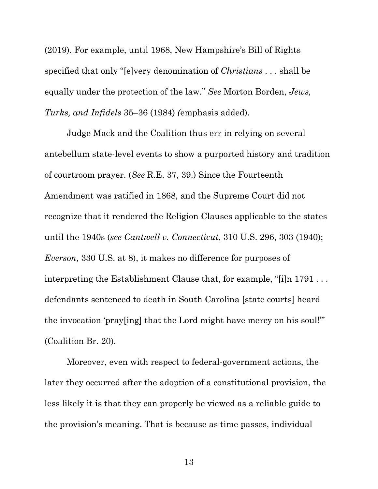(2019). For example, until 1968, New Hampshire's Bill of Rights specified that only "[e]very denomination of *Christians* . . . shall be equally under the protection of the law." *See* Morton Borden, *Jews, Turks, and Infidels* 35–36 (1984) *(*emphasis added).

Judge Mack and the Coalition thus err in relying on several antebellum state-level events to show a purported history and tradition of courtroom prayer. (*See* R.E. 37, 39.) Since the Fourteenth Amendment was ratified in 1868, and the Supreme Court did not recognize that it rendered the Religion Clauses applicable to the states until the 1940s (*see Cantwell v. Connecticut*, 310 U.S. 296, 303 (1940); *Everson*, 330 U.S. at 8), it makes no difference for purposes of interpreting the Establishment Clause that, for example, "[i]n 1791 . . . defendants sentenced to death in South Carolina [state courts] heard the invocation 'pray[ing] that the Lord might have mercy on his soul!'" (Coalition Br. 20).

Moreover, even with respect to federal-government actions, the later they occurred after the adoption of a constitutional provision, the less likely it is that they can properly be viewed as a reliable guide to the provision's meaning. That is because as time passes, individual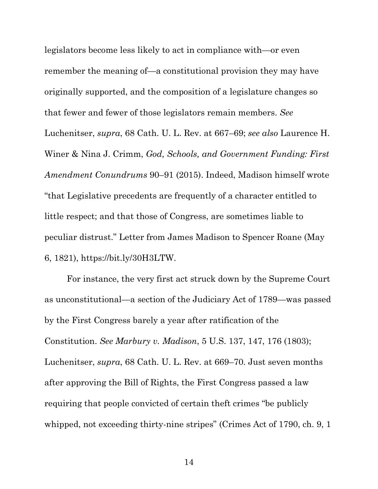legislators become less likely to act in compliance with—or even remember the meaning of—a constitutional provision they may have originally supported, and the composition of a legislature changes so that fewer and fewer of those legislators remain members. *See*  Luchenitser, *supra*, 68 Cath. U. L. Rev. at 667–69; *see also* Laurence H. Winer & Nina J. Crimm, *God, Schools, and Government Funding: First Amendment Conundrums* 90–91 (2015). Indeed, Madison himself wrote "that Legislative precedents are frequently of a character entitled to little respect; and that those of Congress, are sometimes liable to peculiar distrust." Letter from James Madison to Spencer Roane (May 6, 1821), https://bit.ly/30H3LTW.

For instance, the very first act struck down by the Supreme Court as unconstitutional—a section of the Judiciary Act of 1789—was passed by the First Congress barely a year after ratification of the Constitution. *See Marbury v. Madison*, 5 U.S. 137, 147, 176 (1803); Luchenitser, *supra*, 68 Cath. U. L. Rev. at 669–70. Just seven months after approving the Bill of Rights, the First Congress passed a law requiring that people convicted of certain theft crimes "be publicly whipped, not exceeding thirty-nine stripes" (Crimes Act of 1790, ch. 9, 1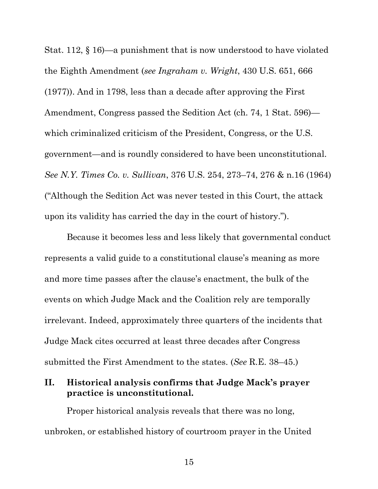Stat. 112, § 16)—a punishment that is now understood to have violated the Eighth Amendment (*see Ingraham v. Wright*, 430 U.S. 651, 666 (1977)). And in 1798, less than a decade after approving the First Amendment, Congress passed the Sedition Act (ch. 74, 1 Stat. 596) which criminalized criticism of the President, Congress, or the U.S. government—and is roundly considered to have been unconstitutional. *See N.Y. Times Co. v. Sullivan*, 376 U.S. 254, 273–74, 276 & n.16 (1964) ("Although the Sedition Act was never tested in this Court, the attack upon its validity has carried the day in the court of history.").

Because it becomes less and less likely that governmental conduct represents a valid guide to a constitutional clause's meaning as more and more time passes after the clause's enactment, the bulk of the events on which Judge Mack and the Coalition rely are temporally irrelevant. Indeed, approximately three quarters of the incidents that Judge Mack cites occurred at least three decades after Congress submitted the First Amendment to the states. (*See* R.E. 38–45.)

# **II. Historical analysis confirms that Judge Mack's prayer practice is unconstitutional.**

Proper historical analysis reveals that there was no long, unbroken, or established history of courtroom prayer in the United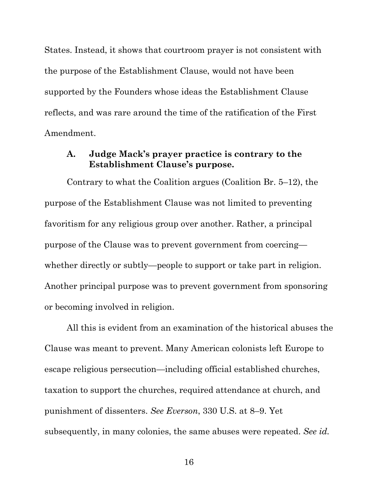States. Instead, it shows that courtroom prayer is not consistent with the purpose of the Establishment Clause, would not have been supported by the Founders whose ideas the Establishment Clause reflects, and was rare around the time of the ratification of the First Amendment.

# **A. Judge Mack's prayer practice is contrary to the Establishment Clause's purpose.**

Contrary to what the Coalition argues (Coalition Br. 5–12), the purpose of the Establishment Clause was not limited to preventing favoritism for any religious group over another. Rather, a principal purpose of the Clause was to prevent government from coercing whether directly or subtly—people to support or take part in religion. Another principal purpose was to prevent government from sponsoring or becoming involved in religion.

All this is evident from an examination of the historical abuses the Clause was meant to prevent. Many American colonists left Europe to escape religious persecution—including official established churches, taxation to support the churches, required attendance at church, and punishment of dissenters. *See Everson*, 330 U.S. at 8–9. Yet subsequently, in many colonies, the same abuses were repeated. *See id.*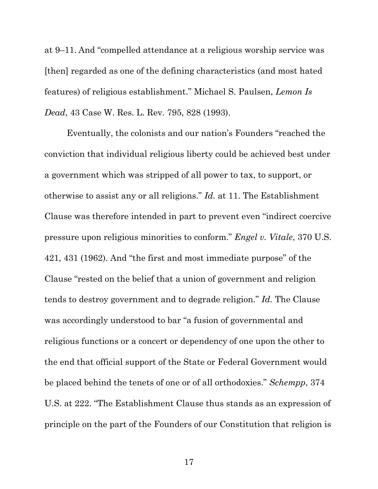at 9–11. And "compelled attendance at a religious worship service was [then] regarded as one of the defining characteristics (and most hated features) of religious establishment." Michael S. Paulsen, *Lemon Is Dead*, 43 Case W. Res. L. Rev. 795, 828 (1993).

Eventually, the colonists and our nation's Founders "reached the conviction that individual religious liberty could be achieved best under a government which was stripped of all power to tax, to support, or otherwise to assist any or all religions." *Id.* at 11. The Establishment Clause was therefore intended in part to prevent even "indirect coercive pressure upon religious minorities to conform." *Engel v. Vitale*, 370 U.S. 421, 431 (1962). And "the first and most immediate purpose" of the Clause "rested on the belief that a union of government and religion tends to destroy government and to degrade religion." *Id.* The Clause was accordingly understood to bar "a fusion of governmental and religious functions or a concert or dependency of one upon the other to the end that official support of the State or Federal Government would be placed behind the tenets of one or of all orthodoxies." *Schempp*, 374 U.S. at 222. "The Establishment Clause thus stands as an expression of principle on the part of the Founders of our Constitution that religion is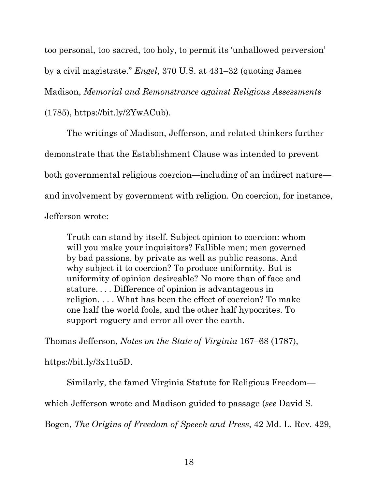too personal, too sacred, too holy, to permit its 'unhallowed perversion' by a civil magistrate." *Engel*, 370 U.S. at 431–32 (quoting James Madison, *Memorial and Remonstrance against Religious Assessments* (1785), https://bit.ly/2YwACub).

The writings of Madison, Jefferson, and related thinkers further demonstrate that the Establishment Clause was intended to prevent both governmental religious coercion—including of an indirect nature and involvement by government with religion. On coercion, for instance, Jefferson wrote:

Truth can stand by itself. Subject opinion to coercion: whom will you make your inquisitors? Fallible men; men governed by bad passions, by private as well as public reasons. And why subject it to coercion? To produce uniformity. But is uniformity of opinion desireable? No more than of face and stature. . . . Difference of opinion is advantageous in religion. . . . What has been the effect of coercion? To make one half the world fools, and the other half hypocrites. To support roguery and error all over the earth.

Thomas Jefferson, *Notes on the State of Virginia* 167–68 (1787),

https://bit.ly/3x1tu5D.

Similarly, the famed Virginia Statute for Religious Freedom—

which Jefferson wrote and Madison guided to passage (*see* David S.

Bogen, *The Origins of Freedom of Speech and Press*, 42 Md. L. Rev. 429,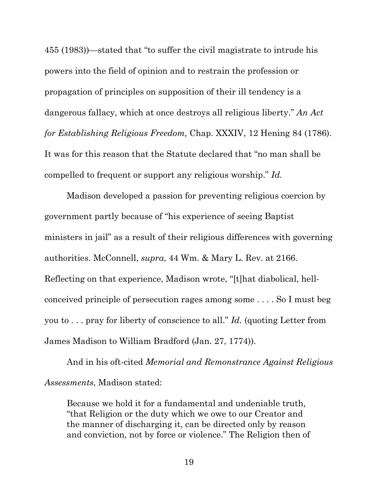455 (1983))—stated that "to suffer the civil magistrate to intrude his powers into the field of opinion and to restrain the profession or propagation of principles on supposition of their ill tendency is a dangerous fallacy, which at once destroys all religious liberty." *An Act for Establishing Religious Freedom,* Chap. XXXIV, 12 Hening 84 (1786). It was for this reason that the Statute declared that "no man shall be compelled to frequent or support any religious worship." *Id.*

Madison developed a passion for preventing religious coercion by government partly because of "his experience of seeing Baptist ministers in jail" as a result of their religious differences with governing authorities. McConnell, *supra*, 44 Wm. & Mary L. Rev. at 2166. Reflecting on that experience, Madison wrote, "[t]hat diabolical, hellconceived principle of persecution rages among some . . . . So I must beg you to . . . pray for liberty of conscience to all." *Id.* (quoting Letter from James Madison to William Bradford (Jan. 27, 1774)).

And in his oft-cited *Memorial and Remonstrance Against Religious Assessments*, Madison stated:

Because we hold it for a fundamental and undeniable truth, "that Religion or the duty which we owe to our Creator and the manner of discharging it, can be directed only by reason and conviction, not by force or violence." The Religion then of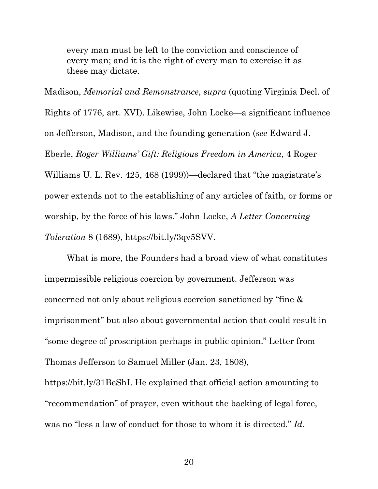every man must be left to the conviction and conscience of every man; and it is the right of every man to exercise it as these may dictate.

Madison, *Memorial and Remonstrance*, *supra* (quoting Virginia Decl. of Rights of 1776, art. XVI). Likewise, John Locke—a significant influence on Jefferson, Madison, and the founding generation (*see* Edward J. Eberle, *Roger Williams' Gift: Religious Freedom in America*, 4 Roger Williams U. L. Rev. 425, 468 (1999))—declared that "the magistrate's power extends not to the establishing of any articles of faith, or forms or worship, by the force of his laws." John Locke, *A Letter Concerning Toleration* 8 (1689), https://bit.ly/3qv5SVV.

What is more, the Founders had a broad view of what constitutes impermissible religious coercion by government. Jefferson was concerned not only about religious coercion sanctioned by "fine & imprisonment" but also about governmental action that could result in "some degree of proscription perhaps in public opinion." Letter from Thomas Jefferson to Samuel Miller (Jan. 23, 1808),

https://bit.ly/31BeShI. He explained that official action amounting to "recommendation" of prayer, even without the backing of legal force, was no "less a law of conduct for those to whom it is directed." *Id.*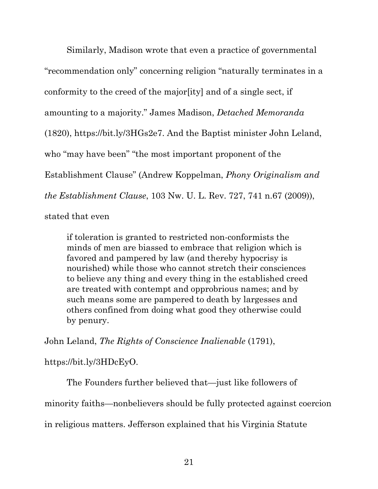Similarly, Madison wrote that even a practice of governmental "recommendation only" concerning religion "naturally terminates in a conformity to the creed of the major[ity] and of a single sect, if amounting to a majority." James Madison, *Detached Memoranda*  (1820), https://bit.ly/3HGs2e7. And the Baptist minister John Leland, who "may have been" "the most important proponent of the Establishment Clause" (Andrew Koppelman, *Phony Originalism and the Establishment Clause*, 103 Nw. U. L. Rev. 727, 741 n.67 (2009)),

stated that even

if toleration is granted to restricted non-conformists the minds of men are biassed to embrace that religion which is favored and pampered by law (and thereby hypocrisy is nourished) while those who cannot stretch their consciences to believe any thing and every thing in the established creed are treated with contempt and opprobrious names; and by such means some are pampered to death by largesses and others confined from doing what good they otherwise could by penury.

John Leland, *The Rights of Conscience Inalienable* (1791),

https://bit.ly/3HDcEyO.

The Founders further believed that—just like followers of minority faiths—nonbelievers should be fully protected against coercion in religious matters. Jefferson explained that his Virginia Statute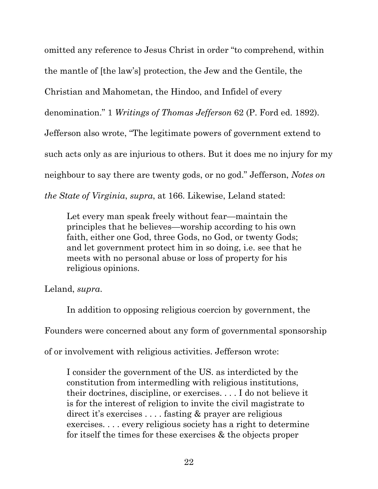omitted any reference to Jesus Christ in order "to comprehend, within the mantle of [the law's] protection, the Jew and the Gentile, the Christian and Mahometan, the Hindoo, and Infidel of every denomination." 1 *Writings of Thomas Jefferson* 62 (P. Ford ed. 1892). Jefferson also wrote, "The legitimate powers of government extend to such acts only as are injurious to others. But it does me no injury for my neighbour to say there are twenty gods, or no god." Jefferson, *Notes on the State of Virginia*, *supra*, at 166. Likewise, Leland stated:

Let every man speak freely without fear—maintain the principles that he believes—worship according to his own faith, either one God, three Gods, no God, or twenty Gods; and let government protect him in so doing, i.e. see that he meets with no personal abuse or loss of property for his religious opinions.

Leland, *supra*.

In addition to opposing religious coercion by government, the Founders were concerned about any form of governmental sponsorship of or involvement with religious activities. Jefferson wrote:

I consider the government of the US. as interdicted by the constitution from intermedling with religious institutions, their doctrines, discipline, or exercises. . . . I do not believe it is for the interest of religion to invite the civil magistrate to direct it's exercises . . . . fasting & prayer are religious exercises. . . . every religious society has a right to determine for itself the times for these exercises & the objects proper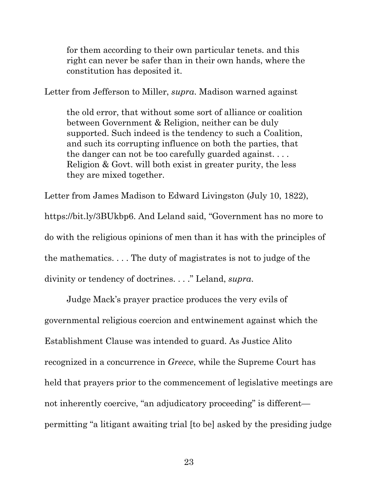for them according to their own particular tenets. and this right can never be safer than in their own hands, where the constitution has deposited it.

Letter from Jefferson to Miller, *supra*. Madison warned against

the old error, that without some sort of alliance or coalition between Government & Religion, neither can be duly supported. Such indeed is the tendency to such a Coalition, and such its corrupting influence on both the parties, that the danger can not be too carefully guarded against. . . . Religion & Govt. will both exist in greater purity, the less they are mixed together.

Letter from James Madison to Edward Livingston (July 10, 1822), https://bit.ly/3BUkbp6. And Leland said, "Government has no more to do with the religious opinions of men than it has with the principles of the mathematics. . . . The duty of magistrates is not to judge of the divinity or tendency of doctrines. . . ." Leland, *supra*.

Judge Mack's prayer practice produces the very evils of governmental religious coercion and entwinement against which the Establishment Clause was intended to guard. As Justice Alito recognized in a concurrence in *Greece*, while the Supreme Court has held that prayers prior to the commencement of legislative meetings are not inherently coercive, "an adjudicatory proceeding" is different permitting "a litigant awaiting trial [to be] asked by the presiding judge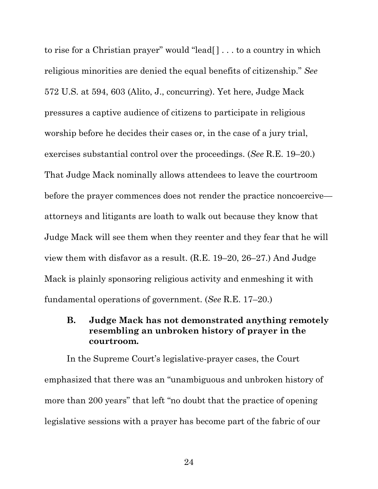to rise for a Christian prayer" would "lead[ ] . . . to a country in which religious minorities are denied the equal benefits of citizenship." *See* 572 U.S. at 594, 603 (Alito, J., concurring). Yet here, Judge Mack pressures a captive audience of citizens to participate in religious worship before he decides their cases or, in the case of a jury trial, exercises substantial control over the proceedings. (*See* R.E. 19–20.) That Judge Mack nominally allows attendees to leave the courtroom before the prayer commences does not render the practice noncoercive attorneys and litigants are loath to walk out because they know that Judge Mack will see them when they reenter and they fear that he will view them with disfavor as a result. (R.E. 19–20, 26–27.) And Judge Mack is plainly sponsoring religious activity and enmeshing it with fundamental operations of government. (*See* R.E. 17–20.)

# **B. Judge Mack has not demonstrated anything remotely resembling an unbroken history of prayer in the courtroom.**

In the Supreme Court's legislative-prayer cases, the Court emphasized that there was an "unambiguous and unbroken history of more than 200 years" that left "no doubt that the practice of opening legislative sessions with a prayer has become part of the fabric of our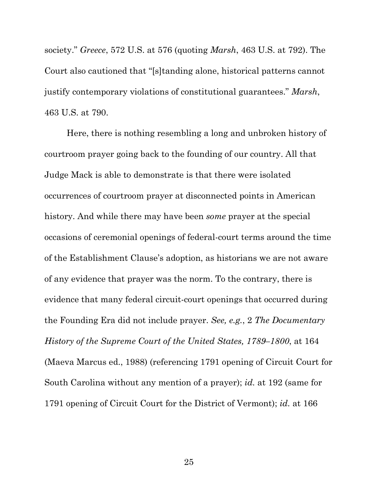society." *Greece*, 572 U.S. at 576 (quoting *Marsh*, 463 U.S. at 792). The Court also cautioned that "[s]tanding alone, historical patterns cannot justify contemporary violations of constitutional guarantees." *Marsh*, 463 U.S. at 790.

Here, there is nothing resembling a long and unbroken history of courtroom prayer going back to the founding of our country. All that Judge Mack is able to demonstrate is that there were isolated occurrences of courtroom prayer at disconnected points in American history. And while there may have been *some* prayer at the special occasions of ceremonial openings of federal-court terms around the time of the Establishment Clause's adoption, as historians we are not aware of any evidence that prayer was the norm. To the contrary, there is evidence that many federal circuit-court openings that occurred during the Founding Era did not include prayer. *See, e.g.*, 2 *The Documentary History of the Supreme Court of the United States, 1789–1800*, at 164 (Maeva Marcus ed., 1988) (referencing 1791 opening of Circuit Court for South Carolina without any mention of a prayer); *id.* at 192 (same for 1791 opening of Circuit Court for the District of Vermont); *id.* at 166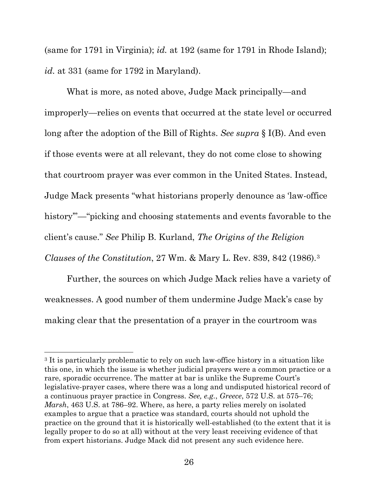(same for 1791 in Virginia); *id.* at 192 (same for 1791 in Rhode Island); *id.* at 331 (same for 1792 in Maryland).

What is more, as noted above, Judge Mack principally—and improperly—relies on events that occurred at the state level or occurred long after the adoption of the Bill of Rights. *See supra* § I(B). And even if those events were at all relevant, they do not come close to showing that courtroom prayer was ever common in the United States. Instead, Judge Mack presents "what historians properly denounce as 'law-office history"—"picking and choosing statements and events favorable to the client's cause." *See* Philip B. Kurland, *The Origins of the Religion Clauses of the Constitution*, 27 Wm. & Mary L. Rev. 839, 842 (1986).[3](#page-30-0)

Further, the sources on which Judge Mack relies have a variety of weaknesses. A good number of them undermine Judge Mack's case by making clear that the presentation of a prayer in the courtroom was

<span id="page-30-0"></span><sup>&</sup>lt;sup>3</sup> It is particularly problematic to rely on such law-office history in a situation like this one, in which the issue is whether judicial prayers were a common practice or a rare, sporadic occurrence. The matter at bar is unlike the Supreme Court's legislative-prayer cases, where there was a long and undisputed historical record of a continuous prayer practice in Congress. *See, e.g.*, *Greece*, 572 U.S. at 575–76; *Marsh*, 463 U.S. at 786–92. Where, as here, a party relies merely on isolated examples to argue that a practice was standard, courts should not uphold the practice on the ground that it is historically well-established (to the extent that it is legally proper to do so at all) without at the very least receiving evidence of that from expert historians. Judge Mack did not present any such evidence here.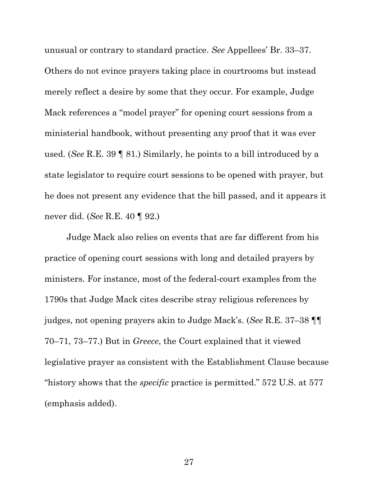unusual or contrary to standard practice. *See* Appellees' Br. 33–37. Others do not evince prayers taking place in courtrooms but instead merely reflect a desire by some that they occur. For example, Judge Mack references a "model prayer" for opening court sessions from a ministerial handbook, without presenting any proof that it was ever used. (*See* R.E. 39 ¶ 81.) Similarly, he points to a bill introduced by a state legislator to require court sessions to be opened with prayer, but he does not present any evidence that the bill passed, and it appears it never did. (*See* R.E. 40 ¶ 92.)

Judge Mack also relies on events that are far different from his practice of opening court sessions with long and detailed prayers by ministers. For instance, most of the federal-court examples from the 1790s that Judge Mack cites describe stray religious references by judges, not opening prayers akin to Judge Mack's. (*See* R.E. 37–38 ¶¶ 70–71, 73–77.) But in *Greece*, the Court explained that it viewed legislative prayer as consistent with the Establishment Clause because "history shows that the *specific* practice is permitted." 572 U.S. at 577 (emphasis added).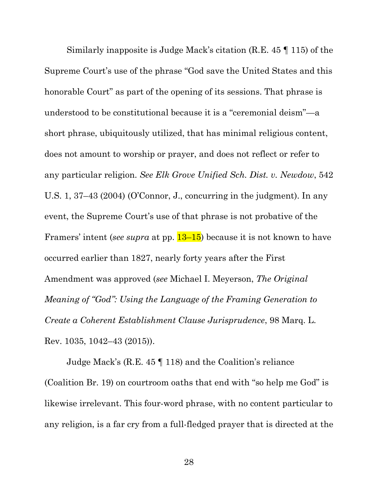Similarly inapposite is Judge Mack's citation (R.E. 45 ¶ 115) of the Supreme Court's use of the phrase "God save the United States and this honorable Court" as part of the opening of its sessions. That phrase is understood to be constitutional because it is a "ceremonial deism"—a short phrase, ubiquitously utilized, that has minimal religious content, does not amount to worship or prayer, and does not reflect or refer to any particular religion. *See Elk Grove Unified Sch. Dist. v. Newdow*, 542 U.S. 1, 37–43 (2004) (O'Connor, J., concurring in the judgment). In any event, the Supreme Court's use of that phrase is not probative of the Framers' intent (*see supra* at pp. 13–15) because it is not known to have occurred earlier than 1827, nearly forty years after the First Amendment was approved (*see* Michael I. Meyerson, *The Original Meaning of "God": Using the Language of the Framing Generation to Create a Coherent Establishment Clause Jurisprudence*, 98 Marq. L. Rev. 1035, 1042–43 (2015)).

Judge Mack's (R.E. 45 ¶ 118) and the Coalition's reliance (Coalition Br. 19) on courtroom oaths that end with "so help me God" is likewise irrelevant. This four-word phrase, with no content particular to any religion, is a far cry from a full-fledged prayer that is directed at the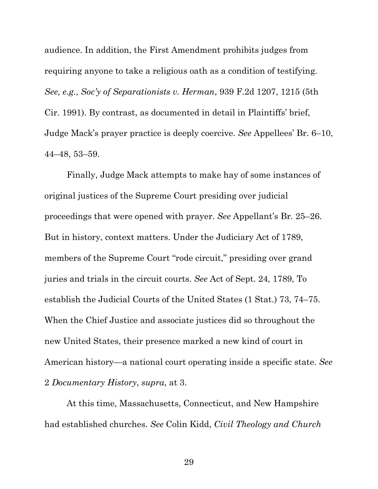audience. In addition, the First Amendment prohibits judges from requiring anyone to take a religious oath as a condition of testifying. *See, e.g.*, *Soc'y of Separationists v. Herman*, 939 F.2d 1207, 1215 (5th Cir. 1991). By contrast, as documented in detail in Plaintiffs' brief, Judge Mack's prayer practice is deeply coercive. *See* Appellees' Br. 6–10, 44–48, 53–59.

Finally, Judge Mack attempts to make hay of some instances of original justices of the Supreme Court presiding over judicial proceedings that were opened with prayer. *See* Appellant's Br. 25–26. But in history, context matters. Under the Judiciary Act of 1789, members of the Supreme Court "rode circuit," presiding over grand juries and trials in the circuit courts. *See* Act of Sept. 24, 1789, To establish the Judicial Courts of the United States (1 Stat.) 73, 74–75. When the Chief Justice and associate justices did so throughout the new United States, their presence marked a new kind of court in American history—a national court operating inside a specific state. *See*  2 *Documentary History*, *supra*, at 3.

At this time, Massachusetts, Connecticut, and New Hampshire had established churches. *See* Colin Kidd, *Civil Theology and Church*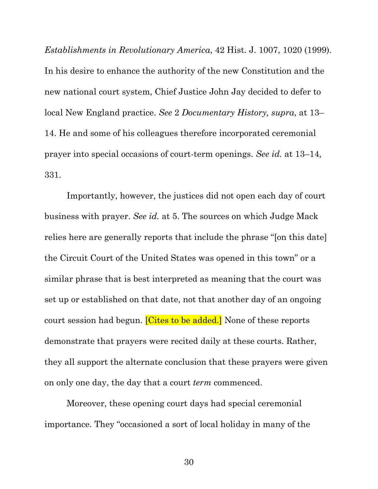*Establishments in Revolutionary America*, 42 Hist. J. 1007, 1020 (1999). In his desire to enhance the authority of the new Constitution and the new national court system, Chief Justice John Jay decided to defer to local New England practice. *See* 2 *Documentary History, supra*, at 13– 14. He and some of his colleagues therefore incorporated ceremonial prayer into special occasions of court-term openings. *See id.* at 13–14, 331.

Importantly, however, the justices did not open each day of court business with prayer. *See id.* at 5. The sources on which Judge Mack relies here are generally reports that include the phrase "[on this date] the Circuit Court of the United States was opened in this town" or a similar phrase that is best interpreted as meaning that the court was set up or established on that date, not that another day of an ongoing court session had begun. **[Cites to be added.]** None of these reports demonstrate that prayers were recited daily at these courts. Rather, they all support the alternate conclusion that these prayers were given on only one day, the day that a court *term* commenced.

Moreover, these opening court days had special ceremonial importance. They "occasioned a sort of local holiday in many of the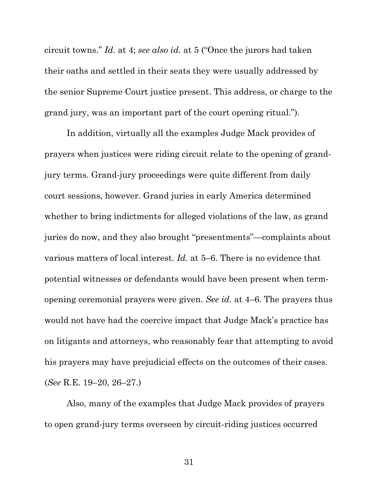circuit towns." *Id.* at 4; *see also id.* at 5 ("Once the jurors had taken their oaths and settled in their seats they were usually addressed by the senior Supreme Court justice present. This address, or charge to the grand jury, was an important part of the court opening ritual.").

In addition, virtually all the examples Judge Mack provides of prayers when justices were riding circuit relate to the opening of grandjury terms. Grand-jury proceedings were quite different from daily court sessions, however. Grand juries in early America determined whether to bring indictments for alleged violations of the law, as grand juries do now, and they also brought "presentments"—complaints about various matters of local interest. *Id.* at 5–6. There is no evidence that potential witnesses or defendants would have been present when termopening ceremonial prayers were given. *See id.* at 4–6. The prayers thus would not have had the coercive impact that Judge Mack's practice has on litigants and attorneys, who reasonably fear that attempting to avoid his prayers may have prejudicial effects on the outcomes of their cases. (*See* R.E. 19–20, 26–27.)

Also, many of the examples that Judge Mack provides of prayers to open grand-jury terms overseen by circuit-riding justices occurred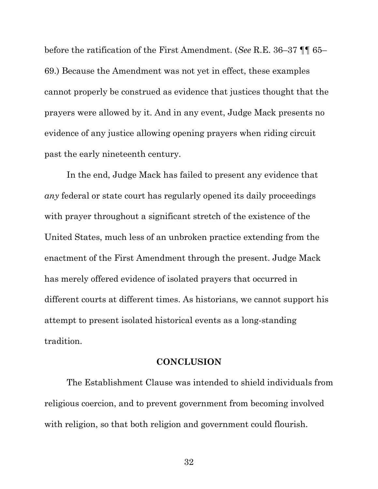before the ratification of the First Amendment. (*See* R.E. 36–37 ¶¶ 65– 69.) Because the Amendment was not yet in effect, these examples cannot properly be construed as evidence that justices thought that the prayers were allowed by it. And in any event, Judge Mack presents no evidence of any justice allowing opening prayers when riding circuit past the early nineteenth century.

In the end, Judge Mack has failed to present any evidence that *any* federal or state court has regularly opened its daily proceedings with prayer throughout a significant stretch of the existence of the United States, much less of an unbroken practice extending from the enactment of the First Amendment through the present. Judge Mack has merely offered evidence of isolated prayers that occurred in different courts at different times. As historians, we cannot support his attempt to present isolated historical events as a long-standing tradition.

## **CONCLUSION**

The Establishment Clause was intended to shield individuals from religious coercion, and to prevent government from becoming involved with religion, so that both religion and government could flourish.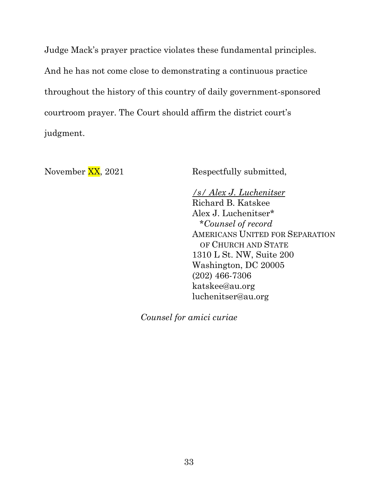Judge Mack's prayer practice violates these fundamental principles. And he has not come close to demonstrating a continuous practice throughout the history of this country of daily government-sponsored courtroom prayer. The Court should affirm the district court's judgment.

November XX, 2021 Respectfully submitted,

*/s/ Alex J. Luchenitser* Richard B. Katskee Alex J. Luchenitser\* \**Counsel of record* AMERICANS UNITED FOR SEPARATION OF CHURCH AND STATE 1310 L St. NW, Suite 200 Washington, DC 20005 (202) 466-7306 katskee@au.org luchenitser@au.org

*Counsel for amici curiae*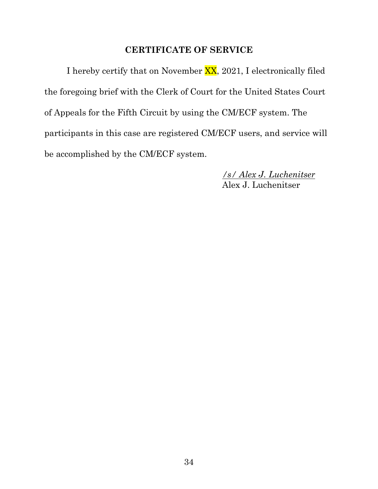## **CERTIFICATE OF SERVICE**

I hereby certify that on November XX, 2021, I electronically filed the foregoing brief with the Clerk of Court for the United States Court of Appeals for the Fifth Circuit by using the CM/ECF system. The participants in this case are registered CM/ECF users, and service will be accomplished by the CM/ECF system.

> */s/ Alex J. Luchenitser* Alex J. Luchenitser